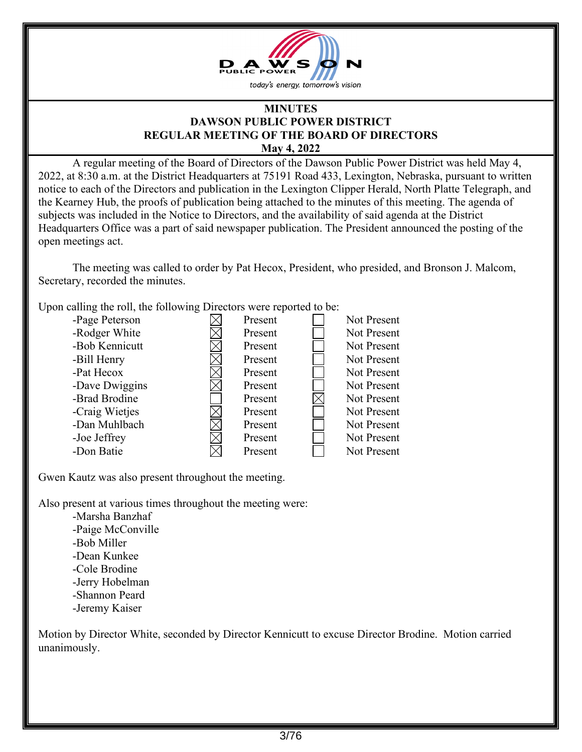

#### **MINUTES DAWSON PUBLIC POWER DISTRICT REGULAR MEETING OF THE BOARD OF DIRECTORS May 4, 2022**

 A regular meeting of the Board of Directors of the Dawson Public Power District was held May 4, 2022, at 8:30 a.m. at the District Headquarters at 75191 Road 433, Lexington, Nebraska, pursuant to written notice to each of the Directors and publication in the Lexington Clipper Herald, North Platte Telegraph, and the Kearney Hub, the proofs of publication being attached to the minutes of this meeting. The agenda of subjects was included in the Notice to Directors, and the availability of said agenda at the District Headquarters Office was a part of said newspaper publication. The President announced the posting of the open meetings act.

The meeting was called to order by Pat Hecox, President, who presided, and Bronson J. Malcom, Secretary, recorded the minutes.

Upon calling the roll, the following Directors were reported to be:

| -Page Peterson | Present | Not Present |
|----------------|---------|-------------|
| -Rodger White  | Present | Not Present |
| -Bob Kennicutt | Present | Not Present |
| -Bill Henry    | Present | Not Present |
| -Pat Hecox     | Present | Not Present |
| -Dave Dwiggins | Present | Not Present |
| -Brad Brodine  | Present | Not Present |
| -Craig Wietjes | Present | Not Present |
| -Dan Muhlbach  | Present | Not Present |
| -Joe Jeffrey   | Present | Not Present |
| -Don Batie     | Present | Not Present |

Gwen Kautz was also present throughout the meeting.

Also present at various times throughout the meeting were:

 -Marsha Banzhaf -Paige McConville -Bob Miller -Dean Kunkee -Cole Brodine -Jerry Hobelman -Shannon Peard -Jeremy Kaiser

Motion by Director White, seconded by Director Kennicutt to excuse Director Brodine. Motion carried unanimously.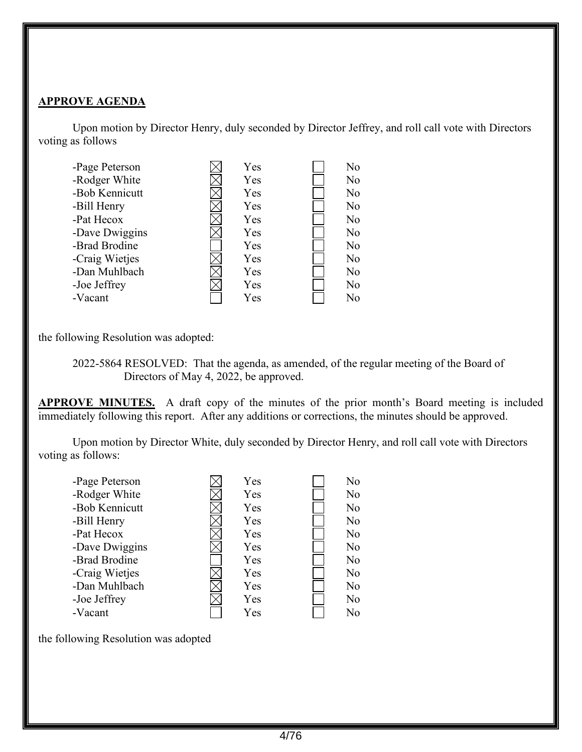#### **APPROVE AGENDA**

 Upon motion by Director Henry, duly seconded by Director Jeffrey, and roll call vote with Directors voting as follows



the following Resolution was adopted:

 2022-5864 RESOLVED: That the agenda, as amended, of the regular meeting of the Board of Directors of May 4, 2022, be approved.

**APPROVE MINUTES.** A draft copy of the minutes of the prior month's Board meeting is included immediately following this report. After any additions or corrections, the minutes should be approved.

 Upon motion by Director White, duly seconded by Director Henry, and roll call vote with Directors voting as follows:

| -Page Peterson | Yes | No             |
|----------------|-----|----------------|
| -Rodger White  | Yes | N <sub>o</sub> |
| -Bob Kennicutt | Yes | N <sub>o</sub> |
| -Bill Henry    | Yes | No             |
| -Pat Hecox     | Yes | No             |
| -Dave Dwiggins | Yes | No             |
| -Brad Brodine  | Yes | N <sub>o</sub> |
| -Craig Wietjes | Yes | No             |
| -Dan Muhlbach  | Yes | No             |
| -Joe Jeffrey   | Yes | No             |
| -Vacant        | Yes | No             |

the following Resolution was adopted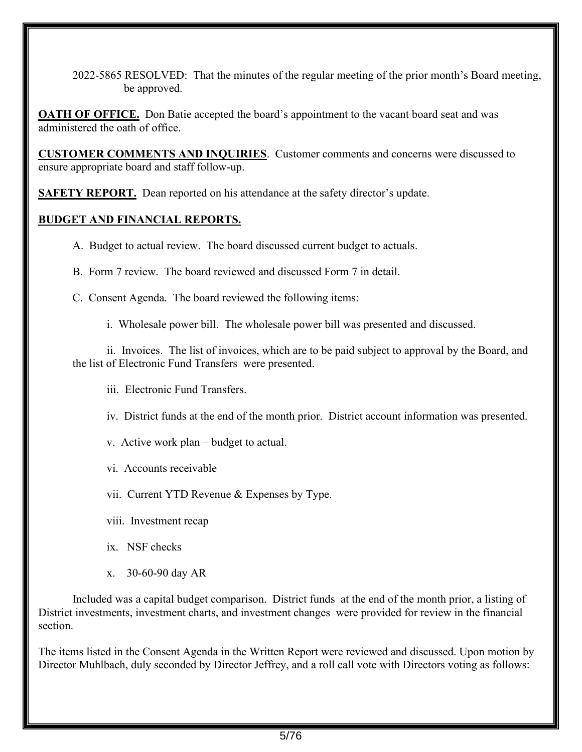2022-5865 RESOLVED: That the minutes of the regular meeting of the prior month's Board meeting, be approved.

**OATH OF OFFICE.** Don Batie accepted the board's appointment to the vacant board seat and was administered the oath of office.

**CUSTOMER COMMENTS AND INQUIRIES**. Customer comments and concerns were discussed to ensure appropriate board and staff follow-up.

**SAFETY REPORT.** Dean reported on his attendance at the safety director's update.

# **BUDGET AND FINANCIAL REPORTS.**

- A. Budget to actual review. The board discussed current budget to actuals.
- B. Form 7 review. The board reviewed and discussed Form 7 in detail.
- C. Consent Agenda. The board reviewed the following items:

i. Wholesale power bill. The wholesale power bill was presented and discussed.

ii. Invoices. The list of invoices, which are to be paid subject to approval by the Board, and the list of Electronic Fund Transfers were presented.

- iii. Electronic Fund Transfers.
- iv. District funds at the end of the month prior. District account information was presented.
- v. Active work plan budget to actual.
- vi. Accounts receivable
- vii. Current YTD Revenue & Expenses by Type.
- viii. Investment recap
- ix. NSF checks
- x. 30-60-90 day AR

 Included was a capital budget comparison. District funds at the end of the month prior, a listing of District investments, investment charts, and investment changes were provided for review in the financial section.

The items listed in the Consent Agenda in the Written Report were reviewed and discussed. Upon motion by Director Muhlbach, duly seconded by Director Jeffrey, and a roll call vote with Directors voting as follows: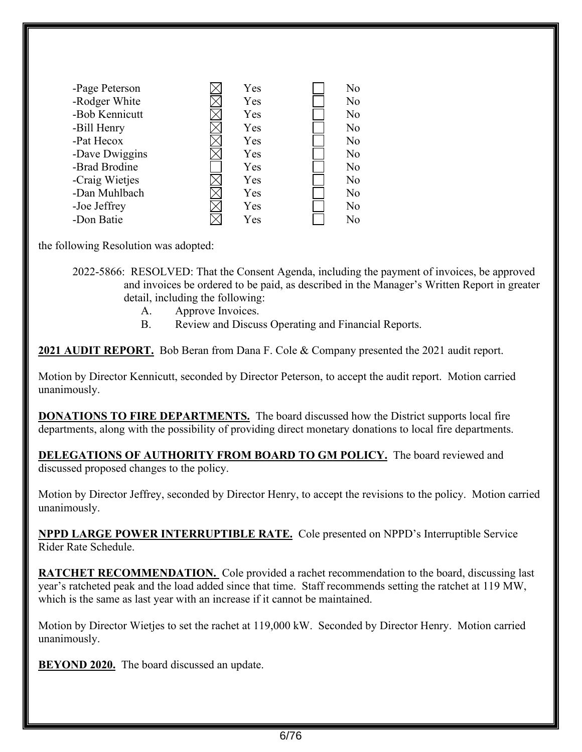| -Page Peterson | Yes | N <sub>o</sub> |
|----------------|-----|----------------|
| -Rodger White  | Yes | No             |
| -Bob Kennicutt | Yes | No             |
|                |     |                |
| -Bill Henry    | Yes | N <sub>o</sub> |
| -Pat Hecox     | Yes | No             |
| -Dave Dwiggins | Yes | N <sub>o</sub> |
| -Brad Brodine  | Yes | No             |
| -Craig Wietjes | Yes | N <sub>o</sub> |
| -Dan Muhlbach  | Yes | N <sub>o</sub> |
| -Joe Jeffrey   | Yes | N <sub>o</sub> |
| -Don Batie     | Yes | No             |

the following Resolution was adopted:

2022-5866: RESOLVED: That the Consent Agenda, including the payment of invoices, be approved and invoices be ordered to be paid, as described in the Manager's Written Report in greater detail, including the following:

- A. Approve Invoices.
- B. Review and Discuss Operating and Financial Reports.

**2021 AUDIT REPORT.** Bob Beran from Dana F. Cole & Company presented the 2021 audit report.

Motion by Director Kennicutt, seconded by Director Peterson, to accept the audit report. Motion carried unanimously.

**DONATIONS TO FIRE DEPARTMENTS.** The board discussed how the District supports local fire departments, along with the possibility of providing direct monetary donations to local fire departments.

**DELEGATIONS OF AUTHORITY FROM BOARD TO GM POLICY.** The board reviewed and discussed proposed changes to the policy.

Motion by Director Jeffrey, seconded by Director Henry, to accept the revisions to the policy. Motion carried unanimously.

**NPPD LARGE POWER INTERRUPTIBLE RATE.** Cole presented on NPPD's Interruptible Service Rider Rate Schedule.

**RATCHET RECOMMENDATION.** Cole provided a rachet recommendation to the board, discussing last year's ratcheted peak and the load added since that time. Staff recommends setting the ratchet at 119 MW, which is the same as last year with an increase if it cannot be maintained.

Motion by Director Wietjes to set the rachet at 119,000 kW. Seconded by Director Henry. Motion carried unanimously.

**BEYOND 2020.** The board discussed an update.